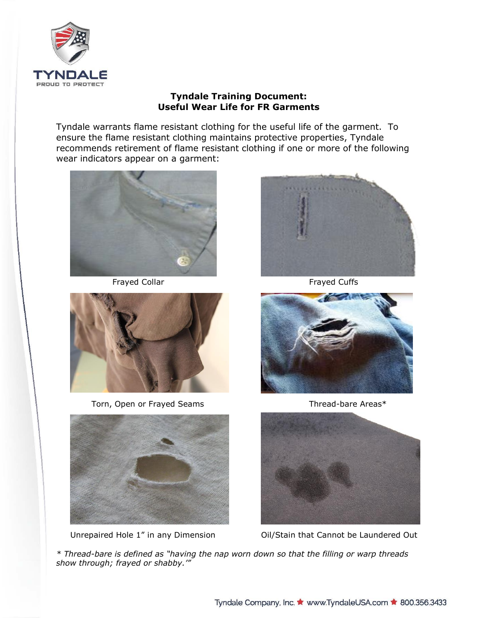

## **Tyndale Training Document: Useful Wear Life for FR Garments**

Tyndale warrants flame resistant clothing for the useful life of the garment. To ensure the flame resistant clothing maintains protective properties, Tyndale recommends retirement of flame resistant clothing if one or more of the following wear indicators appear on a garment:



Frayed Collar **Frayed Cuffs** 



Torn, Open or Frayed Seams Thread-bare Areas\*









Unrepaired Hole 1" in any Dimension Oil/Stain that Cannot be Laundered Out

*\* Thread-bare is defined as "having the nap worn down so that the filling or warp threads show through; frayed or shabby.'"*